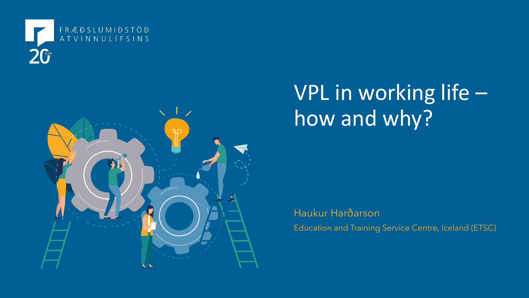



# VPL in working life – how and why?

Haukur Harðarson Education and Training Service Centre, Iceland (ETSC)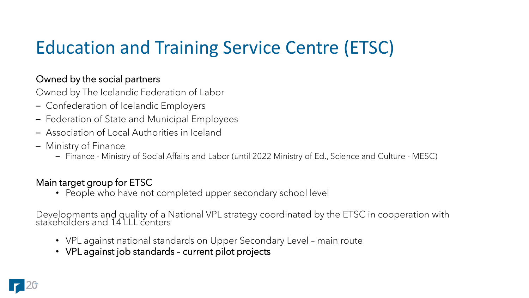## Education and Training Service Centre (ETSC)

### Owned by the social partners

Owned by The Icelandic Federation of Labor

- Confederation of Icelandic Employers
- Federation of State and Municipal Employees
- Association of Local Authorities in Iceland
- Ministry of Finance
	- Finance Ministry of Social Affairs and Labor (until 2022 Ministry of Ed., Science and Culture MESC)

### Main target group for ETSC

• People who have not completed upper secondary school level

Developments and quality of a National VPL strategy coordinated by the ETSC in cooperation with stakeholders and 14 LLL centers

- VPL against national standards on Upper Secondary Level main route
- VPL against job standards current pilot projects

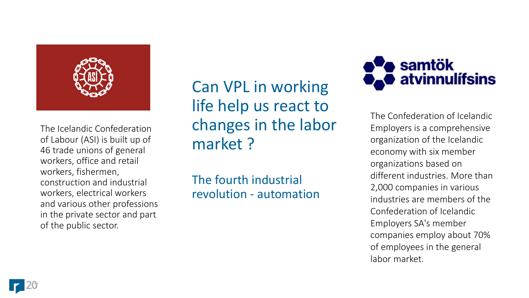

The Icelandic Confederation of Labour (ASI) is built up of 46 trade unions of general workers, office and retail workers, fishermen, construction and industrial workers, electrical workers and various other professions in the private sector and part of the public sector.

Can VPL in working life help us react to changes in the labor market ?

The fourth industrial revolution - automation



The Confederation of Icelandic Employers is a comprehensive organization of the Icelandic economy with six member organizations based on different industries. More than 2,000 companies in various industries are members of the Confederation of Icelandic Employers SA's member companies employ about 70% of employees in the general labor market.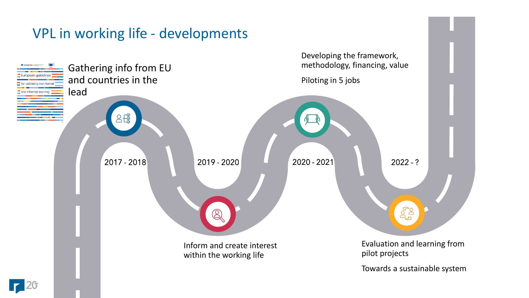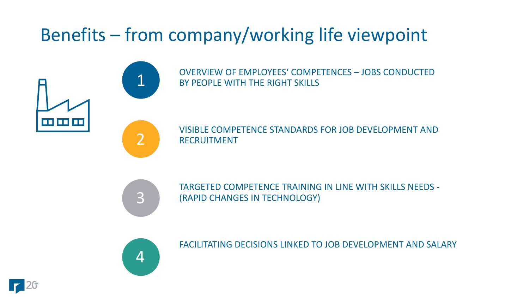## Benefits – from company/working life viewpoint

**FE 88 88** 



OVERVIEW OF EMPLOYEES' COMPETENCES – JOBS CONDUCTED BY PEOPLE WITH THE RIGHT SKILLS

VISIBLE COMPETENCE STANDARDS FOR JOB DEVELOPMENT AND RECRUITMENT



TARGETED COMPETENCE TRAINING IN LINE WITH SKILLS NEEDS - (RAPID CHANGES IN TECHNOLOGY)



FACILITATING DECISIONS LINKED TO JOB DEVELOPMENT AND SALARY

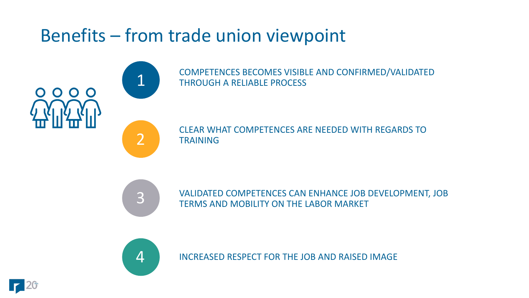### Benefits – from trade union viewpoint

COMPETENCES BECOMES VISIBLE AND CONFIRMED/VALIDATED THROUGH A RELIABLE PROCESS

CLEAR WHAT COMPETENCES ARE NEEDED WITH REGARDS TO TRAINING



1

0000

2

VALIDATED COMPETENCES CAN ENHANCE JOB DEVELOPMENT, JOB TERMS AND MOBILITY ON THE LABOR MARKET



INCREASED RESPECT FOR THE JOB AND RAISED IMAGE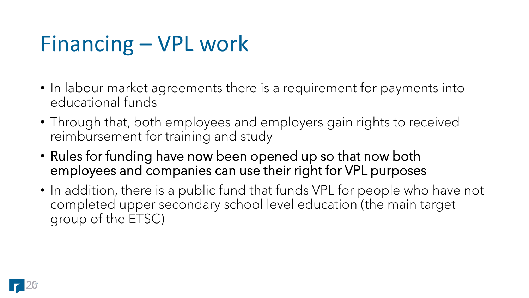# Financing – VPL work

- In labour market agreements there is a requirement for payments into educational funds
- Through that, both employees and employers gain rights to received reimbursement for training and study
- Rules for funding have now been opened up so that now both employees and companies can use their right for VPL purposes
- In addition, there is a public fund that funds VPL for people who have not completed upper secondary school level education (the main target group of the ETSC)

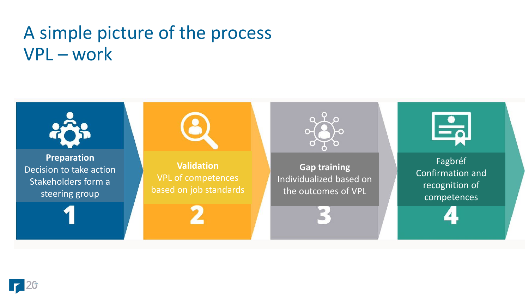### A simple picture of the process VPL – work



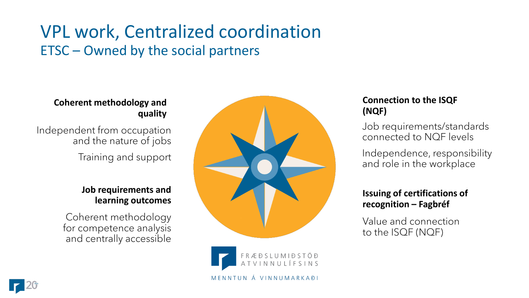### VPL work, Centralized coordination ETSC – Owned by the social partners

#### **Coherent methodology and quality**

Independent from occupation and the nature of jobs Training and support

#### **Job requirements and learning outcomes**

Coherent methodology for competence analysis and centrally accessible





#### **Connection to the ISQF (NQF)**

Job requirements/standards connected to NQF levels

Independence, responsibility and role in the workplace

#### **Issuing of certifications of recognition – Fagbréf**

Value and connection to the ISQF (NQF)